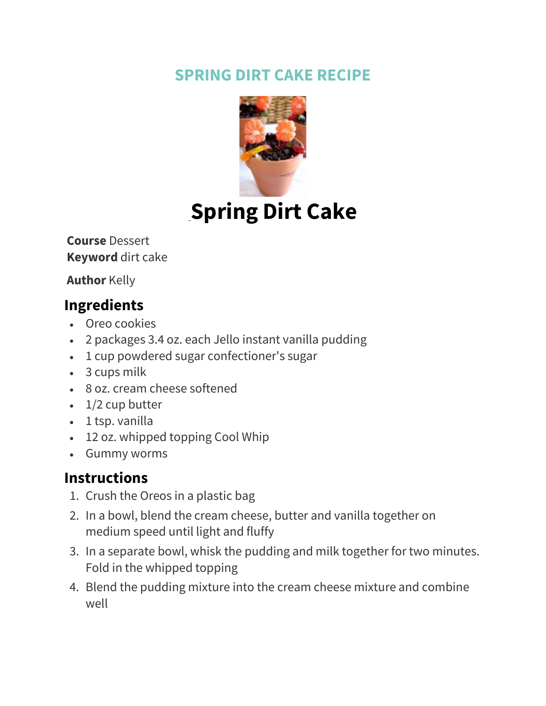## **SPRING DIRT CAKE RECIPE**



## **[S](https://kellyleighcreates.com/wprm_print/recipe/16556)pring Dirt Cake**

**Course** Dessert **Keyword** dirt cake

**Author** Kelly

## **Ingredients**

- Oreo cookies
- 2 packages 3.4 oz. each Jello instant vanilla pudding
- 1 cup powdered sugar confectioner's sugar
- 3 cups milk
- 8 oz. cream cheese softened
- $\cdot$  1/2 cup butter
- 1 tsp. vanilla
- 12 oz. whipped topping Cool Whip
- Gummy worms

## **Instructions**

- 1. Crush the Oreos in a plastic bag
- 2. In a bowl, blend the cream cheese, butter and vanilla together on medium speed until light and fluffy
- 3. In a separate bowl, whisk the pudding and milk together for two minutes. Fold in the whipped topping
- 4. Blend the pudding mixture into the cream cheese mixture and combine well